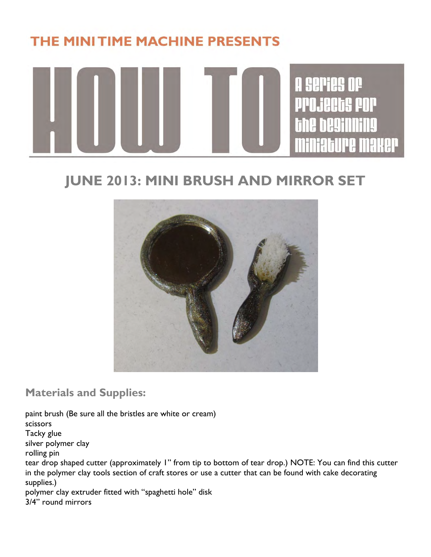## THE MINITIME MACHINE PRESENTS



## **JUNE 2013: MINI BRUSH AND MIRROR SET**



**Materials and Supplies:**

paint brush (Be sure all the bristles are white or cream) scissors Tacky glue silver polymer clay rolling pin tear drop shaped cutter (approximately 1" from tip to bottom of tear drop.) NOTE: You can find this cutter in the polymer clay tools section of craft stores or use a cutter that can be found with cake decorating supplies.) polymer clay extruder fitted with "spaghetti hole" disk 3/4" round mirrors